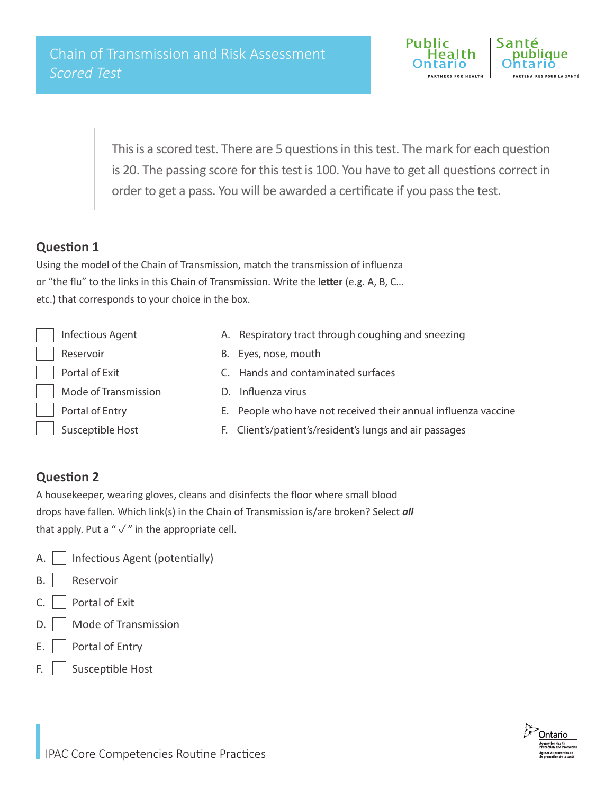

This is a scored test. There are 5 questions in this test. The mark for each question is 20. The passing score for this test is 100. You have to get all questions correct in order to get a pass. You will be awarded a certificate if you pass the test.

## **Question 1**

Using the model of the Chain of Transmission, match the transmission of influenza or "the flu" to the links in this Chain of Transmission. Write the **letter** (e.g. A, B, C… etc.) that corresponds to your choice in the box.

| <b>Infectious Agent</b> | A. Respiratory tract through coughing and sneezing             |
|-------------------------|----------------------------------------------------------------|
| Reservoir               | B. Eyes, nose, mouth                                           |
| Portal of Exit          | C. Hands and contaminated surfaces                             |
| Mode of Transmission    | Influenza virus                                                |
| Portal of Entry         | E. People who have not received their annual influenza vaccine |
| Susceptible Host        | F. Client's/patient's/resident's lungs and air passages        |

## **Question 2**

A housekeeper, wearing gloves, cleans and disinfects the floor where small blood drops have fallen. Which link(s) in the Chain of Transmission is/are broken? Select *all*  that apply. Put a " $\sqrt{ }$ " in the appropriate cell.

- A.  $\vert$  Infectious Agent (potentially)
- B. | Reservoir
- $C.$  Portal of Exit
- D. | | Mode of Transmission
- $E.$  | Portal of Entry
- F. Susceptible Host